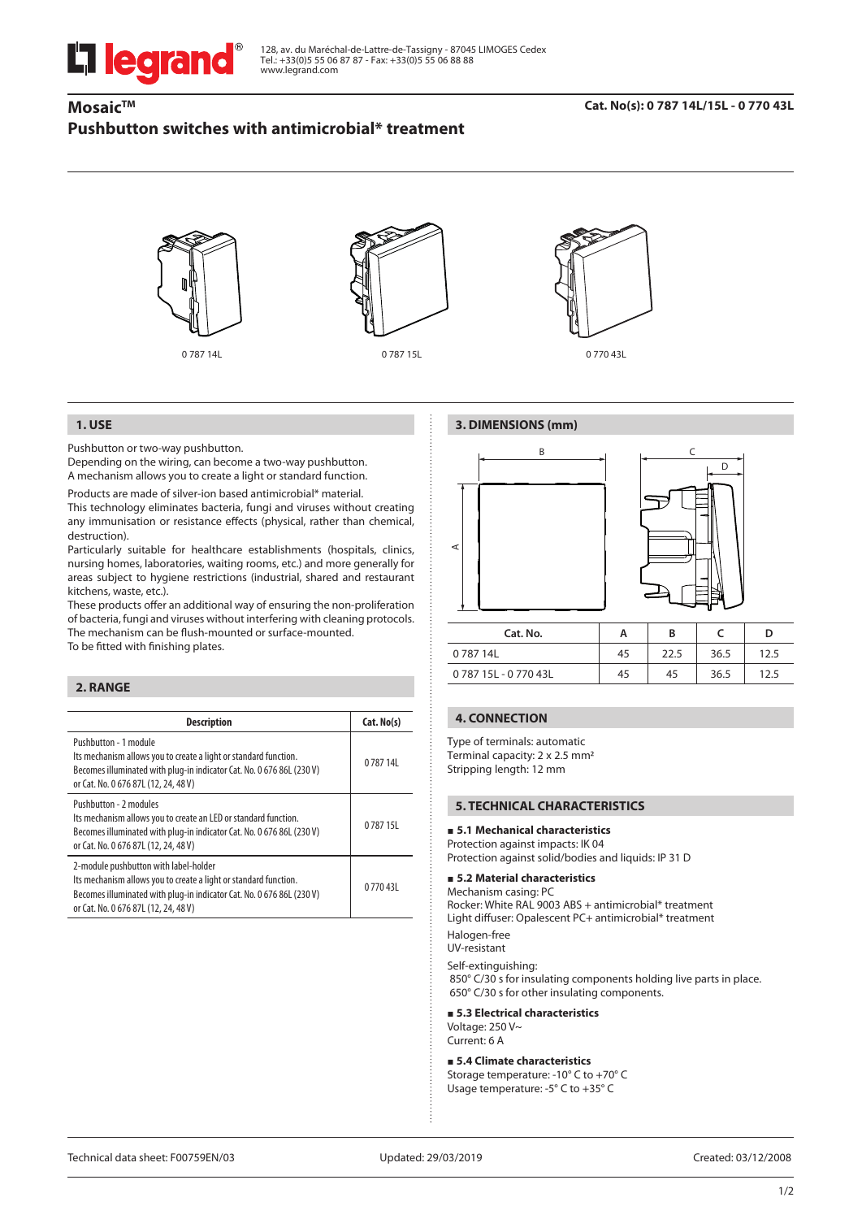# **l legrand**

128, av. du Maréchal-de-Lattre-de-Tassigny - 87045 LIMOGES Cedex Tel.: +33(0)5 55 06 87 87 - Fax: +33(0)5 55 06 88 88 www.legrand.com

# **Mosaic™ Pushbutton switches with antimicrobial\* treatment**



#### **1. USE**

Pushbutton or two-way pushbutton.

Depending on the wiring, can become a two-way pushbutton. A mechanism allows you to create a light or standard function.

Products are made of silver-ion based antimicrobial\* material.

This technology eliminates bacteria, fungi and viruses without creating any immunisation or resistance effects (physical, rather than chemical, destruction).

Particularly suitable for healthcare establishments (hospitals, clinics, nursing homes, laboratories, waiting rooms, etc.) and more generally for areas subject to hygiene restrictions (industrial, shared and restaurant kitchens, waste, etc.).

These products offer an additional way of ensuring the non-proliferation of bacteria, fungi and viruses without interfering with cleaning protocols. The mechanism can be flush-mounted or surface-mounted. To be fitted with finishing plates.

# **2. RANGE**

| <b>Description</b>                                                                                                                                                                                                         | Cat. No(s) |
|----------------------------------------------------------------------------------------------------------------------------------------------------------------------------------------------------------------------------|------------|
| Pushbutton - 1 module<br>Its mechanism allows you to create a light or standard function.<br>Becomes illuminated with plug-in indicator Cat. No. 0 676 86L (230 V)<br>or Cat. No. 0 676 87L (12, 24, 48 V)                 | 0 787 141  |
| Pushbutton - 2 modules<br>Its mechanism allows you to create an LED or standard function.<br>Becomes illuminated with plug-in indicator Cat. No. 0 676 86L (230 V)<br>or Cat. No. 0 676 87L (12, 24, 48 V)                 | 0 787 151  |
| 2-module pushbutton with label-holder<br>Its mechanism allows you to create a light or standard function.<br>Becomes illuminated with plug-in indicator Cat. No. 0 676 86L (230 V)<br>or Cat. No. 0 676 87L (12, 24, 48 V) | 0.770.431  |

# AB 1 1  $\overline{D}$ **Cat. No. A B C D**

| Cat. No.        | А  | ь    |      |      |
|-----------------|----|------|------|------|
| 0 787 14L       | 45 | 22.5 | 36.5 |      |
| 078715L-077043L | 45 | 45   | 36.5 | 12.5 |

# **4. CONNECTION**

Type of terminals: automatic Terminal capacity: 2 x 2.5 mm2 Stripping length: 12 mm

**3. DIMENSIONS (mm)**

### **5. TECHNICAL CHARACTERISTICS**

# **5.1 Mechanical characteristics**

Protection against impacts: IK 04 Protection against solid/bodies and liquids: IP 31 D

#### **5.2 Material characteristics**

Mechanism casing: PC Rocker: White RAL 9003 ABS + antimicrobial\* treatment Light diffuser: Opalescent PC+ antimicrobial\* treatment Halogen-free UV-resistant Self-extinguishing: 850° C/30 s for insulating components holding live parts in place. 650° C/30 s for other insulating components. **5.3 Electrical characteristics**

# Voltage: 250 V~ Current: 6 A

**5.4 Climate characteristics**

Storage temperature: -10° C to +70° C Usage temperature: -5° C to +35° C